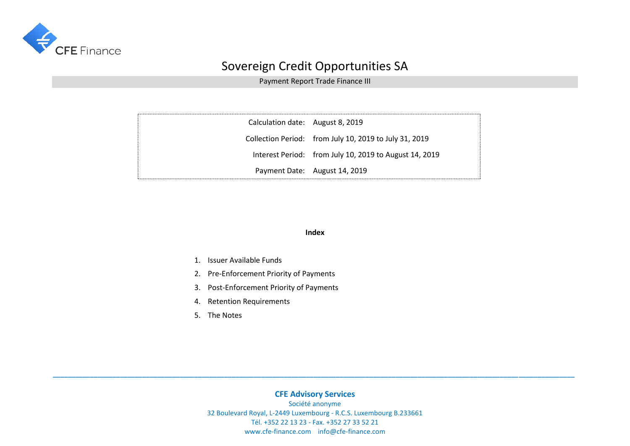

Payment Report Trade Finance III

| Calculation date: August 8, 2019 |                                                        |
|----------------------------------|--------------------------------------------------------|
|                                  | Collection Period: from July 10, 2019 to July 31, 2019 |
|                                  | Interest Period: from July 10, 2019 to August 14, 2019 |
|                                  | Payment Date: August 14, 2019                          |

#### **Index**

- 1. Issuer Available Funds
- 2. Pre-Enforcement Priority of Payments
- 3. Post-Enforcement Priority of Payments
- 4. Retention Requirements
- 5. The Notes

### **CFE Advisory Services**

**\_\_\_\_\_\_\_\_\_\_\_\_\_\_\_\_\_\_\_\_\_\_\_\_\_\_\_\_\_\_\_\_\_\_\_\_\_\_\_\_\_\_\_\_\_\_\_\_\_\_\_\_\_\_\_\_\_\_\_\_\_\_\_\_\_\_\_\_\_\_\_\_\_\_\_\_\_\_\_\_\_\_\_\_\_\_\_\_\_\_\_\_\_\_\_\_\_\_\_\_\_\_\_\_\_\_\_\_\_\_\_\_\_\_\_\_\_\_\_\_\_\_\_\_\_\_\_\_\_\_\_\_\_\_\_\_\_\_\_\_**

Société anonyme 32 Boulevard Royal, L-2449 Luxembourg - R.C.S. Luxembourg B.233661 Tél. +352 22 13 23 - Fax. +352 27 33 52 21 www.cfe-finance.com info@cfe-finance.com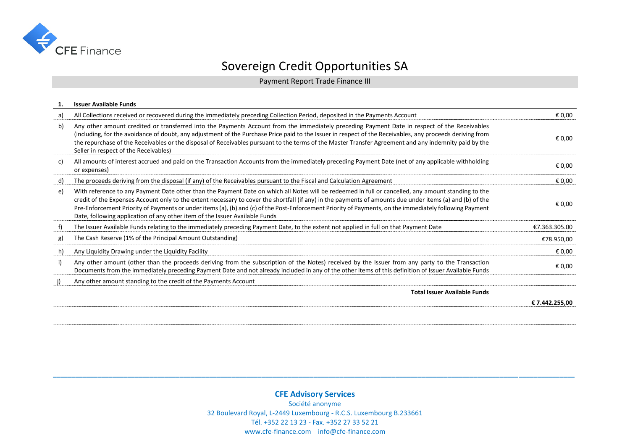

Payment Report Trade Finance III

|    | <b>Issuer Available Funds</b>                                                                                                                                                                                                                                                                                                                                                                                                                                                                                                                              |                |
|----|------------------------------------------------------------------------------------------------------------------------------------------------------------------------------------------------------------------------------------------------------------------------------------------------------------------------------------------------------------------------------------------------------------------------------------------------------------------------------------------------------------------------------------------------------------|----------------|
| a) | All Collections received or recovered during the immediately preceding Collection Period, deposited in the Payments Account                                                                                                                                                                                                                                                                                                                                                                                                                                | € 0,00         |
| b) | Any other amount credited or transferred into the Payments Account from the immediately preceding Payment Date in respect of the Receivables<br>(including, for the avoidance of doubt, any adjustment of the Purchase Price paid to the Issuer in respect of the Receivables, any proceeds deriving from<br>the repurchase of the Receivables or the disposal of Receivables pursuant to the terms of the Master Transfer Agreement and any indemnity paid by the<br>Seller in respect of the Receivables)                                                | € 0,00         |
| c) | All amounts of interest accrued and paid on the Transaction Accounts from the immediately preceding Payment Date (net of any applicable withholding<br>or expenses)                                                                                                                                                                                                                                                                                                                                                                                        | € 0,00         |
| d) | The proceeds deriving from the disposal (if any) of the Receivables pursuant to the Fiscal and Calculation Agreement                                                                                                                                                                                                                                                                                                                                                                                                                                       | € 0,00         |
| e) | With reference to any Payment Date other than the Payment Date on which all Notes will be redeemed in full or cancelled, any amount standing to the<br>credit of the Expenses Account only to the extent necessary to cover the shortfall (if any) in the payments of amounts due under items (a) and (b) of the<br>Pre-Enforcement Priority of Payments or under items (a), (b) and (c) of the Post-Enforcement Priority of Payments, on the immediately following Payment<br>Date, following application of any other item of the Issuer Available Funds | € 0,00         |
| f) | The Issuer Available Funds relating to the immediately preceding Payment Date, to the extent not applied in full on that Payment Date                                                                                                                                                                                                                                                                                                                                                                                                                      | €7.363.305.00  |
| g) | The Cash Reserve (1% of the Principal Amount Outstanding)                                                                                                                                                                                                                                                                                                                                                                                                                                                                                                  | €78.950,00     |
| h) | Any Liquidity Drawing under the Liquidity Facility                                                                                                                                                                                                                                                                                                                                                                                                                                                                                                         | € 0,00         |
| i) | Any other amount (other than the proceeds deriving from the subscription of the Notes) received by the Issuer from any party to the Transaction<br>Documents from the immediately preceding Payment Date and not already included in any of the other items of this definition of Issuer Available Funds                                                                                                                                                                                                                                                   | € 0,00         |
| j) | Any other amount standing to the credit of the Payments Account                                                                                                                                                                                                                                                                                                                                                                                                                                                                                            |                |
|    | <b>Total Issuer Available Funds</b>                                                                                                                                                                                                                                                                                                                                                                                                                                                                                                                        |                |
|    |                                                                                                                                                                                                                                                                                                                                                                                                                                                                                                                                                            | € 7.442.255,00 |
|    |                                                                                                                                                                                                                                                                                                                                                                                                                                                                                                                                                            |                |

**\_\_\_\_\_\_\_\_\_\_\_\_\_\_\_\_\_\_\_\_\_\_\_\_\_\_\_\_\_\_\_\_\_\_\_\_\_\_\_\_\_\_\_\_\_\_\_\_\_\_\_\_\_\_\_\_\_\_\_\_\_\_\_\_\_\_\_\_\_\_\_\_\_\_\_\_\_\_\_\_\_\_\_\_\_\_\_\_\_\_\_\_\_\_\_\_\_\_\_\_\_\_\_\_\_\_\_\_\_\_\_\_\_\_\_\_\_\_\_\_\_\_\_\_\_\_\_\_\_\_\_\_\_\_\_\_\_\_\_\_**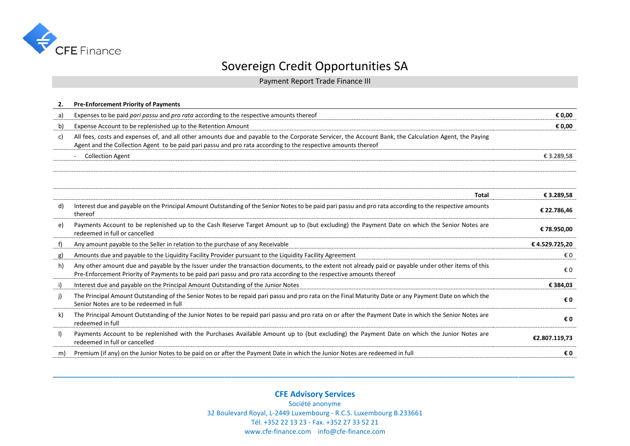

Payment Report Trade Finance III

| 2.      | <b>Pre-Enforcement Priority of Payments</b>                                                                                                                                                                                                                                |               |
|---------|----------------------------------------------------------------------------------------------------------------------------------------------------------------------------------------------------------------------------------------------------------------------------|---------------|
| a)      | Expenses to be paid pari passu and pro rata according to the respective amounts thereof                                                                                                                                                                                    | € 0,00        |
| b)      | Expense Account to be replenished up to the Retention Amount                                                                                                                                                                                                               | € 0,00        |
| C)      | All fees, costs and expenses of, and all other amounts due and payable to the Corporate Servicer, the Account Bank, the Calculation Agent, the Paying<br>Agent and the Collection Agent to be paid pari passu and pro rata according to the respective amounts thereof     |               |
|         | <b>Collection Agent</b><br>$\overline{\phantom{a}}$                                                                                                                                                                                                                        | € 3.289,58    |
|         |                                                                                                                                                                                                                                                                            |               |
|         | <b>Total</b>                                                                                                                                                                                                                                                               | € 3.289,58    |
| d)      | Interest due and payable on the Principal Amount Outstanding of the Senior Notes to be paid pari passu and pro rata according to the respective amounts<br>thereof                                                                                                         | € 22.786,46   |
| e)      | Payments Account to be replenished up to the Cash Reserve Target Amount up to (but excluding) the Payment Date on which the Senior Notes are<br>redeemed in full or cancelled                                                                                              | €78.950,00    |
| f)      | Any amount payable to the Seller in relation to the purchase of any Receivable                                                                                                                                                                                             | €4.529.725,20 |
| g)      | Amounts due and payable to the Liquidity Facility Provider pursuant to the Liquidity Facility Agreement                                                                                                                                                                    | €0            |
| h)      | Any other amount due and payable by the Issuer under the transaction documents, to the extent not already paid or payable under other items of this<br>Pre-Enforcement Priority of Payments to be paid pari passu and pro rata according to the respective amounts thereof | €0            |
| i)      | Interest due and payable on the Principal Amount Outstanding of the Junior Notes                                                                                                                                                                                           | € 384,03      |
| j)      | The Principal Amount Outstanding of the Senior Notes to be repaid pari passu and pro rata on the Final Maturity Date or any Payment Date on which the<br>Senior Notes are to be redeemed in full                                                                           | €0            |
| k)      | The Principal Amount Outstanding of the Junior Notes to be repaid pari passu and pro rata on or after the Payment Date in which the Senior Notes are<br>redeemed in full                                                                                                   | €0            |
| $\vert$ | Payments Account to be replenished with the Purchases Available Amount up to (but excluding) the Payment Date on which the Junior Notes are<br>redeemed in full or cancelled                                                                                               | €2.807.119,73 |
| m)      | Premium (if any) on the Junior Notes to be paid on or after the Payment Date in which the Junior Notes are redeemed in full                                                                                                                                                | €0            |

**CFE Advisory Services** Société anonyme 32 Boulevard Royal, L-2449 Luxembourg - R.C.S. Luxembourg B.233661 Tél. +352 22 13 23 - Fax. +352 27 33 52 21 www.cfe-finance.com info@cfe-finance.com

**\_\_\_\_\_\_\_\_\_\_\_\_\_\_\_\_\_\_\_\_\_\_\_\_\_\_\_\_\_\_\_\_\_\_\_\_\_\_\_\_\_\_\_\_\_\_\_\_\_\_\_\_\_\_\_\_\_\_\_\_\_\_\_\_\_\_\_\_\_\_\_\_\_\_\_\_\_\_\_\_\_\_\_\_\_\_\_\_\_\_\_\_\_\_\_\_\_\_\_\_\_\_\_\_\_\_\_\_\_\_\_\_\_\_\_\_\_\_\_\_\_\_\_\_\_\_\_\_\_\_\_\_\_\_\_\_\_\_\_\_**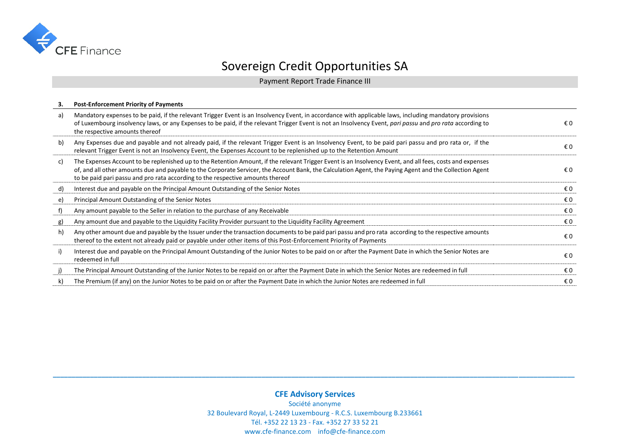

Payment Report Trade Finance III

| З. | <b>Post-Enforcement Priority of Payments</b>                                                                                                                                                                                                                                                                                                                                                           |     |
|----|--------------------------------------------------------------------------------------------------------------------------------------------------------------------------------------------------------------------------------------------------------------------------------------------------------------------------------------------------------------------------------------------------------|-----|
| a) | Mandatory expenses to be paid, if the relevant Trigger Event is an Insolvency Event, in accordance with applicable laws, including mandatory provisions<br>of Luxembourg insolvency laws, or any Expenses to be paid, if the relevant Trigger Event is not an Insolvency Event, pari passu and pro rata according to<br>the respective amounts thereof                                                 | €0  |
| b) | Any Expenses due and payable and not already paid, if the relevant Trigger Event is an Insolvency Event, to be paid pari passu and pro rata or, if the<br>relevant Trigger Event is not an Insolvency Event, the Expenses Account to be replenished up to the Retention Amount                                                                                                                         | € 0 |
| c) | The Expenses Account to be replenished up to the Retention Amount, if the relevant Trigger Event is an Insolvency Event, and all fees, costs and expenses<br>of, and all other amounts due and payable to the Corporate Servicer, the Account Bank, the Calculation Agent, the Paying Agent and the Collection Agent<br>to be paid pari passu and pro rata according to the respective amounts thereof | € 0 |
| d) | Interest due and payable on the Principal Amount Outstanding of the Senior Notes                                                                                                                                                                                                                                                                                                                       | € 0 |
| e) | Principal Amount Outstanding of the Senior Notes                                                                                                                                                                                                                                                                                                                                                       | € 0 |
| f) | Any amount payable to the Seller in relation to the purchase of any Receivable                                                                                                                                                                                                                                                                                                                         | €0  |
| g) | Any amount due and payable to the Liquidity Facility Provider pursuant to the Liquidity Facility Agreement                                                                                                                                                                                                                                                                                             | € 0 |
| h) | Any other amount due and payable by the Issuer under the transaction documents to be paid pari passu and pro rata according to the respective amounts<br>thereof to the extent not already paid or payable under other items of this Post-Enforcement Priority of Payments                                                                                                                             | € 0 |
| i) | Interest due and payable on the Principal Amount Outstanding of the Junior Notes to be paid on or after the Payment Date in which the Senior Notes are<br>redeemed in full                                                                                                                                                                                                                             | € 0 |
| j) | The Principal Amount Outstanding of the Junior Notes to be repaid on or after the Payment Date in which the Senior Notes are redeemed in full                                                                                                                                                                                                                                                          | € 0 |
| k) | The Premium (if any) on the Junior Notes to be paid on or after the Payment Date in which the Junior Notes are redeemed in full                                                                                                                                                                                                                                                                        | € 0 |

### **CFE Advisory Services**

**\_\_\_\_\_\_\_\_\_\_\_\_\_\_\_\_\_\_\_\_\_\_\_\_\_\_\_\_\_\_\_\_\_\_\_\_\_\_\_\_\_\_\_\_\_\_\_\_\_\_\_\_\_\_\_\_\_\_\_\_\_\_\_\_\_\_\_\_\_\_\_\_\_\_\_\_\_\_\_\_\_\_\_\_\_\_\_\_\_\_\_\_\_\_\_\_\_\_\_\_\_\_\_\_\_\_\_\_\_\_\_\_\_\_\_\_\_\_\_\_\_\_\_\_\_\_\_\_\_\_\_\_\_\_\_\_\_\_\_\_**

Société anonyme 32 Boulevard Royal, L-2449 Luxembourg - R.C.S. Luxembourg B.233661 Tél. +352 22 13 23 - Fax. +352 27 33 52 21 www.cfe-finance.com info@cfe-finance.com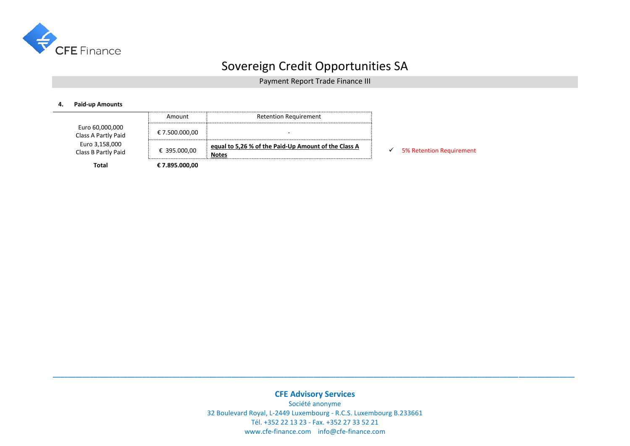

Payment Report Trade Finance III

#### **4. Paid-up Amounts**

|                                        | Amount         | <b>Retention Requirement</b>                                         |                                 |
|----------------------------------------|----------------|----------------------------------------------------------------------|---------------------------------|
| Euro 60,000,000<br>Class A Partly Paid | € 7.500.000,00 | $\overline{\phantom{0}}$                                             |                                 |
| Euro 3,158,000<br>Class B Partly Paid  | € 395.000,00   | equal to 5,26 % of the Paid-Up Amount of the Class A<br><b>Notes</b> | <b>5% Retention Requirement</b> |
| <b>Total</b>                           | € 7.895.000,00 |                                                                      |                                 |

**CFE Advisory Services** Société anonyme 32 Boulevard Royal, L-2449 Luxembourg - R.C.S. Luxembourg B.233661 Tél. +352 22 13 23 - Fax. +352 27 33 52 21 www.cfe-finance.com info@cfe-finance.com

**\_\_\_\_\_\_\_\_\_\_\_\_\_\_\_\_\_\_\_\_\_\_\_\_\_\_\_\_\_\_\_\_\_\_\_\_\_\_\_\_\_\_\_\_\_\_\_\_\_\_\_\_\_\_\_\_\_\_\_\_\_\_\_\_\_\_\_\_\_\_\_\_\_\_\_\_\_\_\_\_\_\_\_\_\_\_\_\_\_\_\_\_\_\_\_\_\_\_\_\_\_\_\_\_\_\_\_\_\_\_\_\_\_\_\_\_\_\_\_\_\_\_\_\_\_\_\_\_\_\_\_\_\_\_\_\_\_\_\_\_**